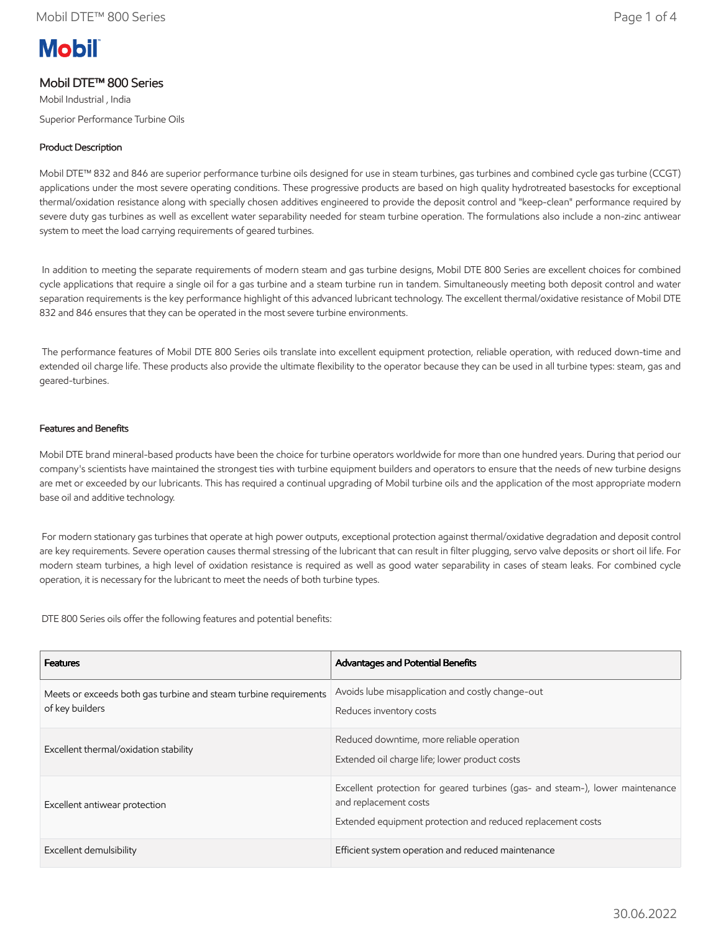# **Mobil**

# Mobil DTE™ 800 Series

Mobil Industrial , India Superior Performance Turbine Oils

## Product Description

Mobil DTE™ 832 and 846 are superior performance turbine oils designed for use in steam turbines, gas turbines and combined cycle gas turbine (CCGT) applications under the most severe operating conditions. These progressive products are based on high quality hydrotreated basestocks for exceptional thermal/oxidation resistance along with specially chosen additives engineered to provide the deposit control and "keep-clean" performance required by severe duty gas turbines as well as excellent water separability needed for steam turbine operation. The formulations also include a non-zinc antiwear system to meet the load carrying requirements of geared turbines.

 In addition to meeting the separate requirements of modern steam and gas turbine designs, Mobil DTE 800 Series are excellent choices for combined cycle applications that require a single oil for a gas turbine and a steam turbine run in tandem. Simultaneously meeting both deposit control and water separation requirements is the key performance highlight of this advanced lubricant technology. The excellent thermal/oxidative resistance of Mobil DTE 832 and 846 ensures that they can be operated in the most severe turbine environments.

 The performance features of Mobil DTE 800 Series oils translate into excellent equipment protection, reliable operation, with reduced down-time and extended oil charge life. These products also provide the ultimate flexibility to the operator because they can be used in all turbine types: steam, gas and geared-turbines.

#### Features and Benefits

Mobil DTE brand mineral-based products have been the choice for turbine operators worldwide for more than one hundred years. During that period our company's scientists have maintained the strongest ties with turbine equipment builders and operators to ensure that the needs of new turbine designs are met or exceeded by our lubricants. This has required a continual upgrading of Mobil turbine oils and the application of the most appropriate modern base oil and additive technology.

 For modern stationary gas turbines that operate at high power outputs, exceptional protection against thermal/oxidative degradation and deposit control are key requirements. Severe operation causes thermal stressing of the lubricant that can result in filter plugging, servo valve deposits or short oil life. For modern steam turbines, a high level of oxidation resistance is required as well as good water separability in cases of steam leaks. For combined cycle operation, it is necessary for the lubricant to meet the needs of both turbine types.

DTE 800 Series oils offer the following features and potential benefits:

| <b>Features</b>                                                                     | <b>Advantages and Potential Benefits</b>                                                                                                                              |
|-------------------------------------------------------------------------------------|-----------------------------------------------------------------------------------------------------------------------------------------------------------------------|
| Meets or exceeds both gas turbine and steam turbine requirements<br>of key builders | Avoids lube misapplication and costly change-out<br>Reduces inventory costs                                                                                           |
| Excellent thermal/oxidation stability                                               | Reduced downtime, more reliable operation<br>Extended oil charge life; lower product costs                                                                            |
| Excellent antiwear protection                                                       | Excellent protection for geared turbines (gas- and steam-), lower maintenance<br>and replacement costs<br>Extended equipment protection and reduced replacement costs |
| Excellent demulsibility                                                             | Efficient system operation and reduced maintenance                                                                                                                    |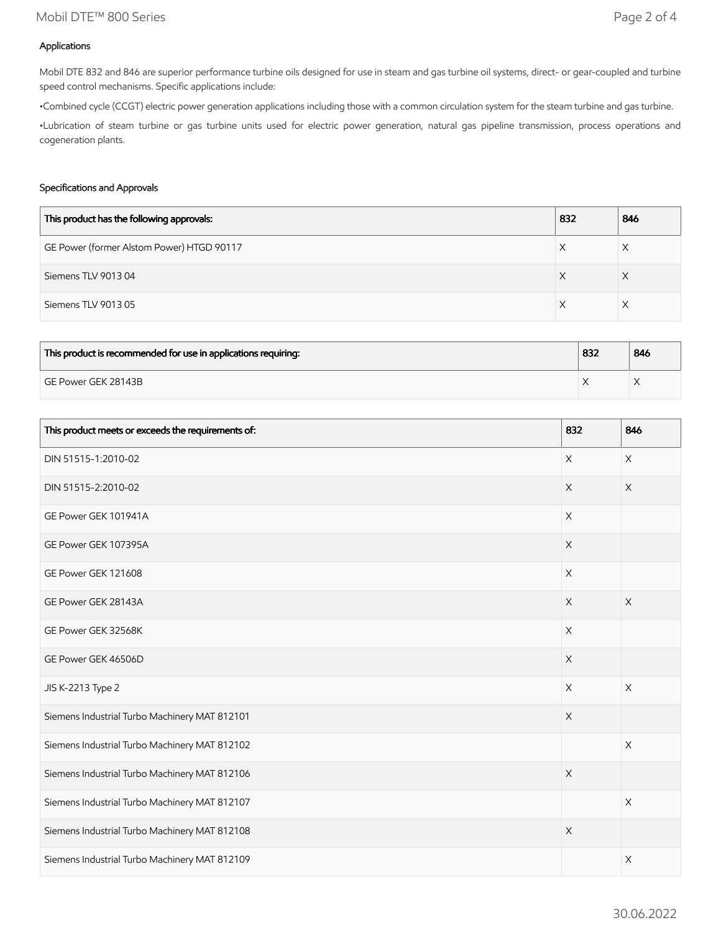## Mobil DTE™ 800 Series Page 2 of 4

### Applications

Mobil DTE 832 and 846 are superior performance turbine oils designed for use in steam and gas turbine oil systems, direct- or gear-coupled and turbine speed control mechanisms. Specific applications include:

•Combined cycle (CCGT) electric power generation applications including those with a common circulation system for the steam turbine and gas turbine.

•Lubrication of steam turbine or gas turbine units used for electric power generation, natural gas pipeline transmission, process operations and cogeneration plants.

#### Specifications and Approvals

| This product has the following approvals: | 832 | 846 |
|-------------------------------------------|-----|-----|
| GE Power (former Alstom Power) HTGD 90117 |     | X   |
| Siemens TLV 901304                        | Х   | ⋏   |
| Siemens TLV 901305                        |     | X   |

| This product is recommended for use in applications requiring: | 832 | 846 |
|----------------------------------------------------------------|-----|-----|
| GE Power GEK 28143B                                            |     |     |

| This product meets or exceeds the requirements of: | 832         | 846                   |
|----------------------------------------------------|-------------|-----------------------|
| DIN 51515-1:2010-02                                | $\times$    | $\mathsf X$           |
| DIN 51515-2:2010-02                                | $\times$    | X                     |
| GE Power GEK 101941A                               | $\times$    |                       |
| GE Power GEK 107395A                               | $\mathsf X$ |                       |
| GE Power GEK 121608                                | $\times$    |                       |
| GE Power GEK 28143A                                | $\times$    | $\times$              |
| GE Power GEK 32568K                                | $\mathsf X$ |                       |
| GE Power GEK 46506D                                | $\mathsf X$ |                       |
| JIS K-2213 Type 2                                  | $\times$    | $\times$              |
| Siemens Industrial Turbo Machinery MAT 812101      | X           |                       |
| Siemens Industrial Turbo Machinery MAT 812102      |             | $\mathsf X$           |
| Siemens Industrial Turbo Machinery MAT 812106      | $\mathsf X$ |                       |
| Siemens Industrial Turbo Machinery MAT 812107      |             | $\times$              |
| Siemens Industrial Turbo Machinery MAT 812108      | $\times$    |                       |
| Siemens Industrial Turbo Machinery MAT 812109      |             | $\boldsymbol{\times}$ |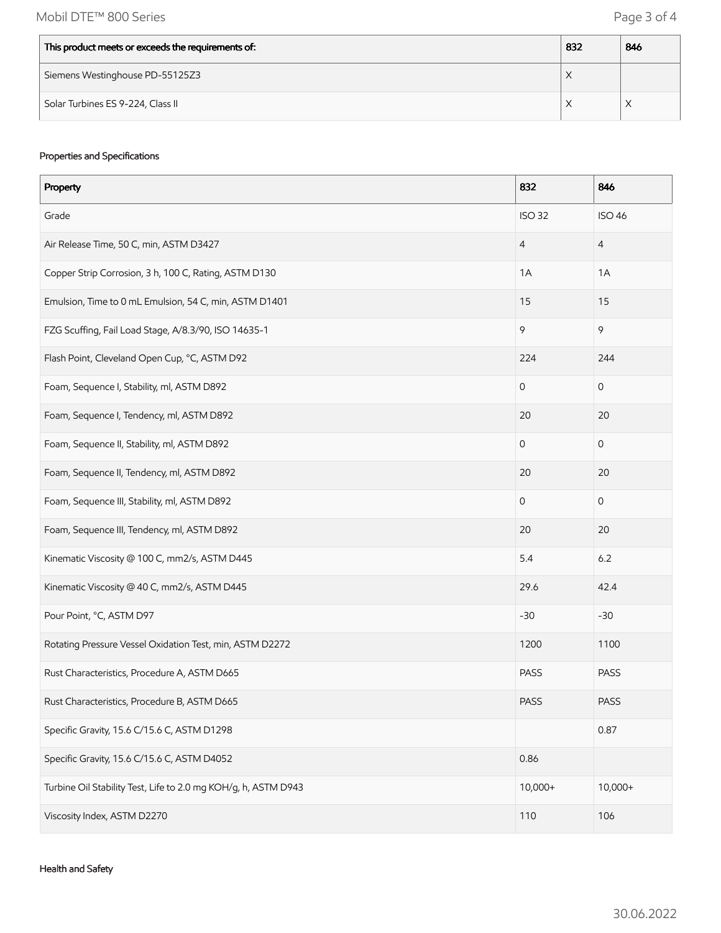| This product meets or exceeds the requirements of: | 832       | 846 |
|----------------------------------------------------|-----------|-----|
| Siemens Westinghouse PD-55125Z3                    | $\lambda$ |     |
| Solar Turbines ES 9-224, Class II                  | ⌒         |     |

## Properties and Specifications

| Property                                                       | 832            | 846                 |
|----------------------------------------------------------------|----------------|---------------------|
| Grade                                                          | <b>ISO 32</b>  | <b>ISO 46</b>       |
| Air Release Time, 50 C, min, ASTM D3427                        | $\overline{4}$ | $\overline{4}$      |
| Copper Strip Corrosion, 3 h, 100 C, Rating, ASTM D130          | 1A             | 1A                  |
| Emulsion, Time to 0 mL Emulsion, 54 C, min, ASTM D1401         | 15             | 15                  |
| FZG Scuffing, Fail Load Stage, A/8.3/90, ISO 14635-1           | 9              | 9                   |
| Flash Point, Cleveland Open Cup, °C, ASTM D92                  | 224            | 244                 |
| Foam, Sequence I, Stability, ml, ASTM D892                     | $\mathsf O$    | $\mathsf{O}\xspace$ |
| Foam, Sequence I, Tendency, ml, ASTM D892                      | 20             | 20                  |
| Foam, Sequence II, Stability, ml, ASTM D892                    | $\mathbf 0$    | $\mathsf{O}\xspace$ |
| Foam, Sequence II, Tendency, ml, ASTM D892                     | 20             | 20                  |
| Foam, Sequence III, Stability, ml, ASTM D892                   | $\mathbf 0$    | $\mathsf O$         |
| Foam, Sequence III, Tendency, ml, ASTM D892                    | 20             | 20                  |
| Kinematic Viscosity @ 100 C, mm2/s, ASTM D445                  | 5.4            | 6.2                 |
| Kinematic Viscosity @ 40 C, mm2/s, ASTM D445                   | 29.6           | 42.4                |
| Pour Point, °C, ASTM D97                                       | $-30$          | $-30$               |
| Rotating Pressure Vessel Oxidation Test, min, ASTM D2272       | 1200           | 1100                |
| Rust Characteristics, Procedure A, ASTM D665                   | PASS           | <b>PASS</b>         |
| Rust Characteristics, Procedure B, ASTM D665                   | <b>PASS</b>    | PASS                |
| Specific Gravity, 15.6 C/15.6 C, ASTM D1298                    |                | 0.87                |
| Specific Gravity, 15.6 C/15.6 C, ASTM D4052                    | 0.86           |                     |
| Turbine Oil Stability Test, Life to 2.0 mg KOH/g, h, ASTM D943 | 10,000+        | $10,000+$           |
| Viscosity Index, ASTM D2270                                    | 110            | 106                 |

Health and Safety